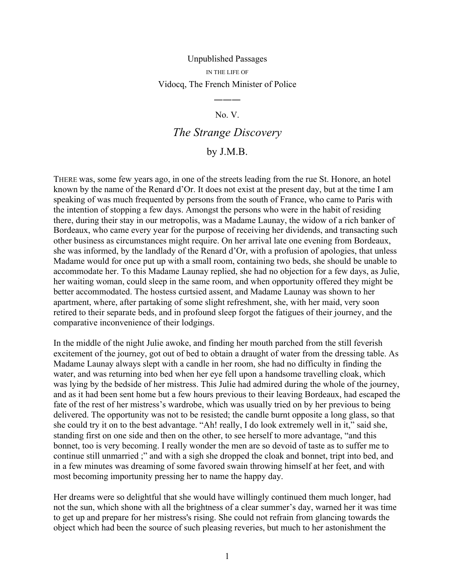## Unpublished Passages IN THE LIFE OF Vidocq, The French Minister of Police

## No. V.

―――

## *The Strange Discovery*

## by J.M.B.

THERE was, some few years ago, in one of the streets leading from the rue St. Honore, an hotel known by the name of the Renard d'Or. It does not exist at the present day, but at the time I am speaking of was much frequented by persons from the south of France, who came to Paris with the intention of stopping a few days. Amongst the persons who were in the habit of residing there, during their stay in our metropolis, was a Madame Launay, the widow of a rich banker of Bordeaux, who came every year for the purpose of receiving her dividends, and transacting such other business as circumstances might require. On her arrival late one evening from Bordeaux, she was informed, by the landlady of the Renard d'Or, with a profusion of apologies, that unless Madame would for once put up with a small room, containing two beds, she should be unable to accommodate her. To this Madame Launay replied, she had no objection for a few days, as Julie, her waiting woman, could sleep in the same room, and when opportunity offered they might be better accommodated. The hostess curtsied assent, and Madame Launay was shown to her apartment, where, after partaking of some slight refreshment, she, with her maid, very soon retired to their separate beds, and in profound sleep forgot the fatigues of their journey, and the comparative inconvenience of their lodgings.

In the middle of the night Julie awoke, and finding her mouth parched from the still feverish excitement of the journey, got out of bed to obtain a draught of water from the dressing table. As Madame Launay always slept with a candle in her room, she had no difficulty in finding the water, and was returning into bed when her eye fell upon a handsome travelling cloak, which was lying by the bedside of her mistress. This Julie had admired during the whole of the journey, and as it had been sent home but a few hours previous to their leaving Bordeaux, had escaped the fate of the rest of her mistress's wardrobe, which was usually tried on by her previous to being delivered. The opportunity was not to be resisted; the candle burnt opposite a long glass, so that she could try it on to the best advantage. "Ah! really, I do look extremely well in it," said she, standing first on one side and then on the other, to see herself to more advantage, "and this bonnet, too is very becoming. I really wonder the men are so devoid of taste as to suffer me to continue still unmarried ;" and with a sigh she dropped the cloak and bonnet, tript into bed, and in a few minutes was dreaming of some favored swain throwing himself at her feet, and with most becoming importunity pressing her to name the happy day.

Her dreams were so delightful that she would have willingly continued them much longer, had not the sun, which shone with all the brightness of a clear summer's day, warned her it was time to get up and prepare for her mistress's rising. She could not refrain from glancing towards the object which had been the source of such pleasing reveries, but much to her astonishment the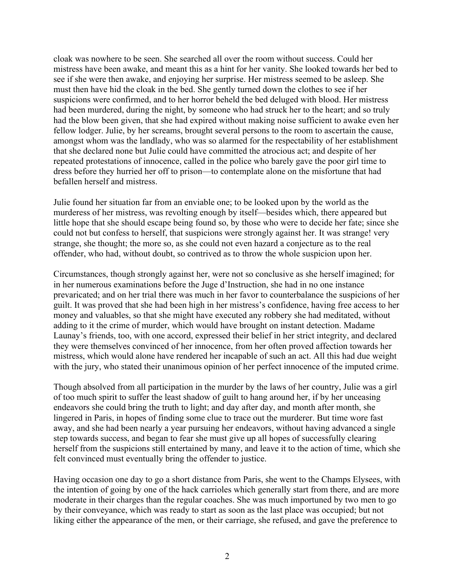cloak was nowhere to be seen. She searched all over the room without success. Could her mistress have been awake, and meant this as a hint for her vanity. She looked towards her bed to see if she were then awake, and enjoying her surprise. Her mistress seemed to be asleep. She must then have hid the cloak in the bed. She gently turned down the clothes to see if her suspicions were confirmed, and to her horror beheld the bed deluged with blood. Her mistress had been murdered, during the night, by someone who had struck her to the heart; and so truly had the blow been given, that she had expired without making noise sufficient to awake even her fellow lodger. Julie, by her screams, brought several persons to the room to ascertain the cause, amongst whom was the landlady, who was so alarmed for the respectability of her establishment that she declared none but Julie could have committed the atrocious act; and despite of her repeated protestations of innocence, called in the police who barely gave the poor girl time to dress before they hurried her off to prison—to contemplate alone on the misfortune that had befallen herself and mistress.

Julie found her situation far from an enviable one; to be looked upon by the world as the murderess of her mistress, was revolting enough by itself—besides which, there appeared but little hope that she should escape being found so, by those who were to decide her fate; since she could not but confess to herself, that suspicions were strongly against her. It was strange! very strange, she thought; the more so, as she could not even hazard a conjecture as to the real offender, who had, without doubt, so contrived as to throw the whole suspicion upon her.

Circumstances, though strongly against her, were not so conclusive as she herself imagined; for in her numerous examinations before the Juge d'Instruction, she had in no one instance prevaricated; and on her trial there was much in her favor to counterbalance the suspicions of her guilt. It was proved that she had been high in her mistress's confidence, having free access to her money and valuables, so that she might have executed any robbery she had meditated, without adding to it the crime of murder, which would have brought on instant detection. Madame Launay's friends, too, with one accord, expressed their belief in her strict integrity, and declared they were themselves convinced of her innocence, from her often proved affection towards her mistress, which would alone have rendered her incapable of such an act. All this had due weight with the jury, who stated their unanimous opinion of her perfect innocence of the imputed crime.

Though absolved from all participation in the murder by the laws of her country, Julie was a girl of too much spirit to suffer the least shadow of guilt to hang around her, if by her unceasing endeavors she could bring the truth to light; and day after day, and month after month, she lingered in Paris, in hopes of finding some clue to trace out the murderer. But time wore fast away, and she had been nearly a year pursuing her endeavors, without having advanced a single step towards success, and began to fear she must give up all hopes of successfully clearing herself from the suspicions still entertained by many, and leave it to the action of time, which she felt convinced must eventually bring the offender to justice.

Having occasion one day to go a short distance from Paris, she went to the Champs Elysees, with the intention of going by one of the hack carrioles which generally start from there, and are more moderate in their charges than the regular coaches. She was much importuned by two men to go by their conveyance, which was ready to start as soon as the last place was occupied; but not liking either the appearance of the men, or their carriage, she refused, and gave the preference to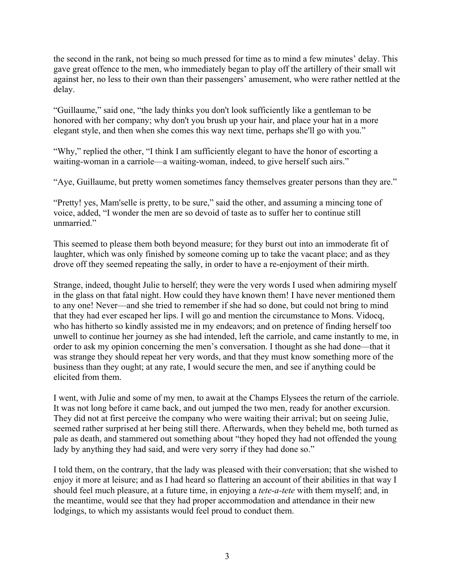the second in the rank, not being so much pressed for time as to mind a few minutes' delay. This gave great offence to the men, who immediately began to play off the artillery of their small wit against her, no less to their own than their passengers' amusement, who were rather nettled at the delay.

"Guillaume," said one, "the lady thinks you don't look sufficiently like a gentleman to be honored with her company; why don't you brush up your hair, and place your hat in a more elegant style, and then when she comes this way next time, perhaps she'll go with you."

"Why," replied the other, "I think I am sufficiently elegant to have the honor of escorting a waiting-woman in a carriole—a waiting-woman, indeed, to give herself such airs."

"Aye, Guillaume, but pretty women sometimes fancy themselves greater persons than they are."

"Pretty! yes, Mam'selle is pretty, to be sure," said the other, and assuming a mincing tone of voice, added, "I wonder the men are so devoid of taste as to suffer her to continue still unmarried."

This seemed to please them both beyond measure; for they burst out into an immoderate fit of laughter, which was only finished by someone coming up to take the vacant place; and as they drove off they seemed repeating the sally, in order to have a re-enjoyment of their mirth.

Strange, indeed, thought Julie to herself; they were the very words I used when admiring myself in the glass on that fatal night. How could they have known them! I have never mentioned them to any one! Never—and she tried to remember if she had so done, but could not bring to mind that they had ever escaped her lips. I will go and mention the circumstance to Mons. Vidocq, who has hitherto so kindly assisted me in my endeavors; and on pretence of finding herself too unwell to continue her journey as she had intended, left the carriole, and came instantly to me, in order to ask my opinion concerning the men's conversation. I thought as she had done—that it was strange they should repeat her very words, and that they must know something more of the business than they ought; at any rate, I would secure the men, and see if anything could be elicited from them.

I went, with Julie and some of my men, to await at the Champs Elysees the return of the carriole. It was not long before it came back, and out jumped the two men, ready for another excursion. They did not at first perceive the company who were waiting their arrival; but on seeing Julie, seemed rather surprised at her being still there. Afterwards, when they beheld me, both turned as pale as death, and stammered out something about "they hoped they had not offended the young lady by anything they had said, and were very sorry if they had done so."

I told them, on the contrary, that the lady was pleased with their conversation; that she wished to enjoy it more at leisure; and as I had heard so flattering an account of their abilities in that way I should feel much pleasure, at a future time, in enjoying a *tete-a-tete* with them myself; and, in the meantime, would see that they had proper accommodation and attendance in their new lodgings, to which my assistants would feel proud to conduct them.